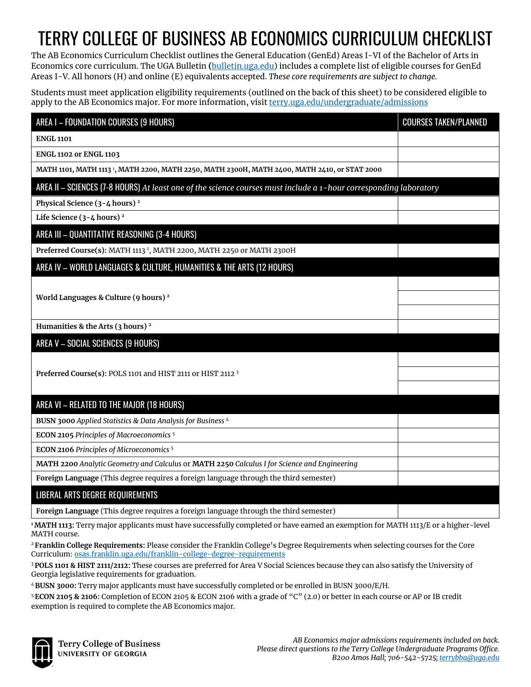# TERRY COLLEGE OF BUSINESS AB ECONOMICS CURRICULUM CHECKLIST

The AB Economics Curriculum Checklist outlines the General Education (GenEd) Areas I-VI of the Bachelor of Arts in Economics core curriculum. The UGA Bulletin **(**[bulletin.uga.edu\)](https://bulletin.uga.edu/GenEdCoreBulletin) includes a complete list of eligible courses for GenEd Areas I-V. All honors (H) and online (E) equivalents accepted. *These core requirements are subject to change.* 

Students must meet application eligibility requirements (outlined on the back of this sheet) to be considered eligible to apply to the AB Economics major. For more information, visi[t terry.uga.edu/undergraduate/admissions](https://terry.uga.edu/undergraduate/admissions)

| AREA I - FOUNDATION COURSES (9 HOURS)                                                                             | <b>COURSES TAKEN/PLANNED</b> |
|-------------------------------------------------------------------------------------------------------------------|------------------------------|
| <b>ENGL 1101</b>                                                                                                  |                              |
| <b>ENGL 1102 or ENGL 1103</b>                                                                                     |                              |
| MATH 1101, MATH 1113 1, MATH 2200, MATH 2250, MATH 2300H, MATH 2400, MATH 2410, or STAT 2000                      |                              |
| AREA II - SCIENCES (7-8 HOURS) At least one of the science courses must include a 1-hour corresponding laboratory |                              |
| Physical Science (3-4 hours) <sup>2</sup>                                                                         |                              |
| Life Science $(3-4$ hours) <sup>2</sup>                                                                           |                              |
| AREA III - QUANTITATIVE REASONING (3-4 HOURS)                                                                     |                              |
| Preferred Course(s): MATH 1113 <sup>1</sup> , MATH 2200, MATH 2250 or MATH 2300H                                  |                              |
| AREA IV - WORLD LANGUAGES & CULTURE, HUMANITIES & THE ARTS (12 HOURS)                                             |                              |
|                                                                                                                   |                              |
| World Languages & Culture (9 hours) <sup>2</sup>                                                                  |                              |
|                                                                                                                   |                              |
| Humanities & the Arts (3 hours) <sup>2</sup>                                                                      |                              |
| AREA V - SOCIAL SCIENCES (9 HOURS)                                                                                |                              |
|                                                                                                                   |                              |
| Preferred Course(s): POLS 1101 and HIST 2111 or HIST 2112 3                                                       |                              |
|                                                                                                                   |                              |
| AREA VI - RELATED TO THE MAJOR (18 HOURS)                                                                         |                              |
| BUSN 3000 Applied Statistics & Data Analysis for Business 4                                                       |                              |
| <b>ECON 2105 Principles of Macroeconomics<sup>5</sup></b>                                                         |                              |
| <b>ECON 2106 Principles of Microeconomics<sup>5</sup></b>                                                         |                              |
| MATH 2200 Analytic Geometry and Calculus or MATH 2250 Calculus I for Science and Engineering                      |                              |
| Foreign Language (This degree requires a foreign language through the third semester)                             |                              |
| LIBERAL ARTS DEGREE REQUIREMENTS                                                                                  |                              |
| Foreign Language (This degree requires a foreign language through the third semester)                             |                              |

**1 MATH 1113:** Terry major applicants must have successfully completed or have earned an exemption for MATH 1113/E or a higher-level MATH course.

<sup>2</sup>**Franklin College Requirements:** Please consider the Franklin College's Degree Requirements when selecting courses for the Core Curriculum[: osas.franklin.uga.edu/franklin-college-degree-requirements](https://osas.franklin.uga.edu/franklin-college-degree-requirements)

<sup>3</sup>**POLS 1101 & HIST 2111/2112:** These courses are preferred for Area V Social Sciences because they can also satisfy the University of Georgia legislative requirements for graduation.

<sup>4</sup>**BUSN 3000:** Terry major applicants must have successfully completed or be enrolled in BUSN 3000/E/H.

<sup>5</sup>**ECON 2105 & 2106:** Completion of ECON 2105 & ECON 2106 with a grade of "C" (2.0) or better in each course or AP or IB credit exemption is required to complete the AB Economics major.